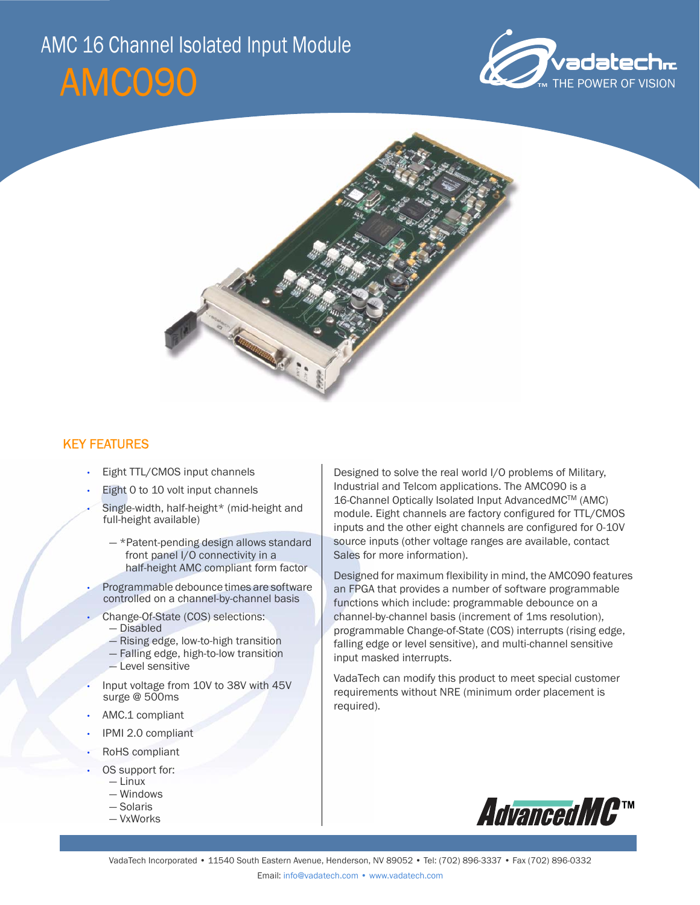# AMC090 AMC 16 Channel Isolated Input Module





# KEY FEATURES

- Eight TTL/CMOS input channels
- Eight 0 to 10 volt input channels
- Single-width, half-height\* (mid-height and full-height available)
	- \*Patent-pending design allows standard front panel I/O connectivity in a half-height AMC compliant form factor
- Programmable debounce times are software controlled on a channel-by-channel basis
- Change-Of-State (COS) selections:
	- Disabled
	- Rising edge, low-to-high transition
	- Falling edge, high-to-low transition
	- Level sensitive
- Input voltage from 10V to 38V with 45V surge @ 500ms
- AMC.1 compliant
- IPMI 2.0 compliant
- RoHS compliant
- OS support for:
	- Linux — Windows
	- Solaris
	- VxWorks

Designed to solve the real world I/O problems of Military, Industrial and Telcom applications. The AMC090 is a 16-Channel Optically Isolated Input AdvancedMCTM (AMC) module. Eight channels are factory configured for TTL/CMOS inputs and the other eight channels are configured for 0-10V source inputs (other voltage ranges are available, contact Sales for more information).

Designed for maximum flexibility in mind, the AMC090 features an FPGA that provides a number of software programmable functions which include: programmable debounce on a channel-by-channel basis (increment of 1ms resolution), programmable Change-of-State (COS) interrupts (rising edge, falling edge or level sensitive), and multi-channel sensitive input masked interrupts.

VadaTech can modify this product to meet special customer requirements without NRE (minimum order placement is required).

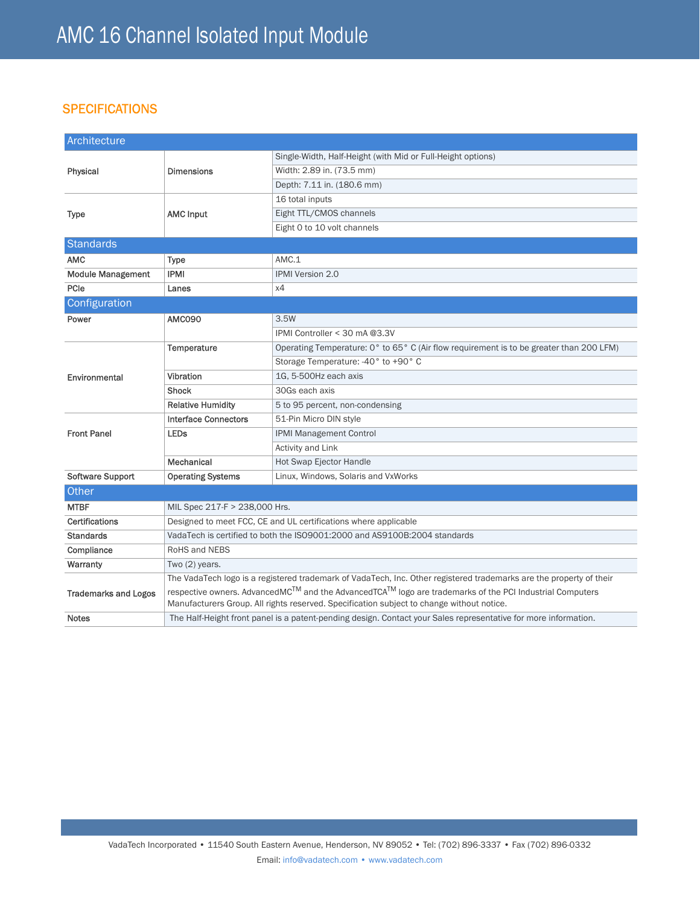# **SPECIFICATIONS**

| Architecture                |                                                                                                                                                                                                      |                                                                                         |
|-----------------------------|------------------------------------------------------------------------------------------------------------------------------------------------------------------------------------------------------|-----------------------------------------------------------------------------------------|
| Physical                    | <b>Dimensions</b>                                                                                                                                                                                    | Single-Width, Half-Height (with Mid or Full-Height options)                             |
|                             |                                                                                                                                                                                                      | Width: 2.89 in. (73.5 mm)                                                               |
|                             |                                                                                                                                                                                                      | Depth: 7.11 in. (180.6 mm)                                                              |
|                             |                                                                                                                                                                                                      | 16 total inputs                                                                         |
| <b>Type</b>                 | <b>AMC Input</b>                                                                                                                                                                                     | Eight TTL/CMOS channels                                                                 |
|                             |                                                                                                                                                                                                      | Eight 0 to 10 volt channels                                                             |
| <b>Standards</b>            |                                                                                                                                                                                                      |                                                                                         |
| <b>AMC</b>                  | <b>Type</b>                                                                                                                                                                                          | AMC.1                                                                                   |
| <b>Module Management</b>    | <b>IPMI</b>                                                                                                                                                                                          | <b>IPMI Version 2.0</b>                                                                 |
| PCIe                        | Lanes                                                                                                                                                                                                | x4                                                                                      |
| Configuration               |                                                                                                                                                                                                      |                                                                                         |
| Power                       | <b>AMC090</b>                                                                                                                                                                                        | 3.5W                                                                                    |
|                             |                                                                                                                                                                                                      | IPMI Controller < 30 mA @3.3V                                                           |
|                             | Temperature                                                                                                                                                                                          | Operating Temperature: 0° to 65° C (Air flow requirement is to be greater than 200 LFM) |
|                             |                                                                                                                                                                                                      | Storage Temperature: -40° to +90° C                                                     |
| Environmental               | Vibration                                                                                                                                                                                            | 1G, 5-500Hz each axis                                                                   |
|                             | <b>Shock</b>                                                                                                                                                                                         | 30Gs each axis                                                                          |
|                             | <b>Relative Humidity</b>                                                                                                                                                                             | 5 to 95 percent, non-condensing                                                         |
|                             | <b>Interface Connectors</b>                                                                                                                                                                          | 51-Pin Micro DIN style                                                                  |
| <b>Front Panel</b>          | <b>LEDs</b>                                                                                                                                                                                          | IPMI Management Control                                                                 |
|                             |                                                                                                                                                                                                      | Activity and Link                                                                       |
|                             | Mechanical                                                                                                                                                                                           | <b>Hot Swap Ejector Handle</b>                                                          |
| <b>Software Support</b>     | <b>Operating Systems</b>                                                                                                                                                                             | Linux, Windows, Solaris and VxWorks                                                     |
| Other                       |                                                                                                                                                                                                      |                                                                                         |
| <b>MTBF</b>                 | MIL Spec 217-F > 238,000 Hrs.                                                                                                                                                                        |                                                                                         |
| Certifications              | Designed to meet FCC, CE and UL certifications where applicable                                                                                                                                      |                                                                                         |
| <b>Standards</b>            | VadaTech is certified to both the ISO9001:2000 and AS9100B:2004 standards                                                                                                                            |                                                                                         |
| Compliance                  | RoHS and NEBS                                                                                                                                                                                        |                                                                                         |
| Warranty                    | Two (2) years.                                                                                                                                                                                       |                                                                                         |
|                             | The VadaTech logo is a registered trademark of VadaTech, Inc. Other registered trademarks are the property of their                                                                                  |                                                                                         |
| <b>Trademarks and Logos</b> | respective owners. AdvancedMC™ and the AdvancedTCA™ logo are trademarks of the PCI Industrial Computers<br>Manufacturers Group. All rights reserved. Specification subject to change without notice. |                                                                                         |
| <b>Notes</b>                | The Half-Height front panel is a patent-pending design. Contact your Sales representative for more information.                                                                                      |                                                                                         |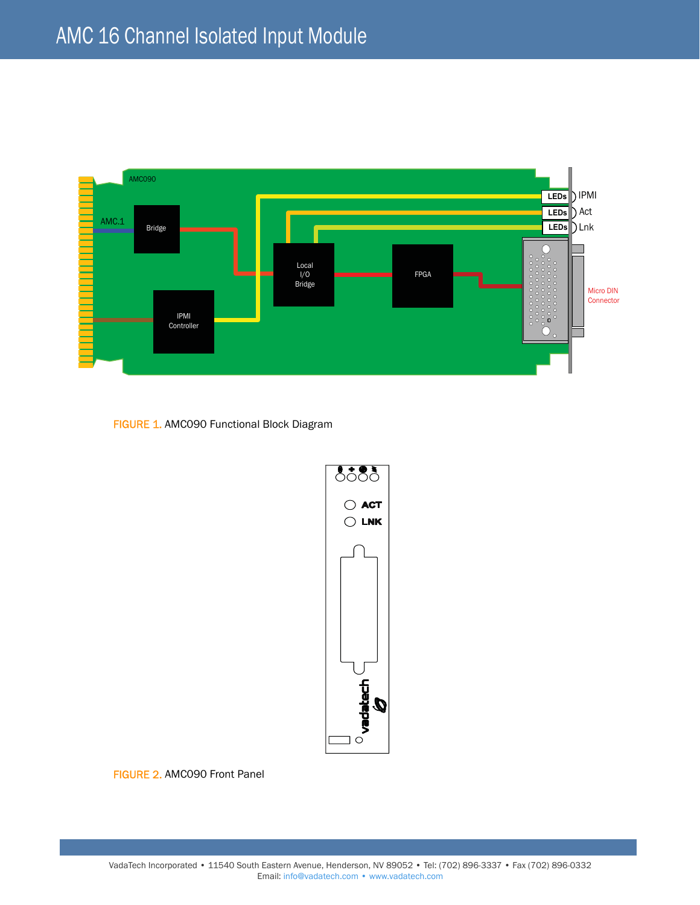

FIGURE 1. AMC090 Functional Block Diagram



FIGURE 2. AMC090 Front Panel